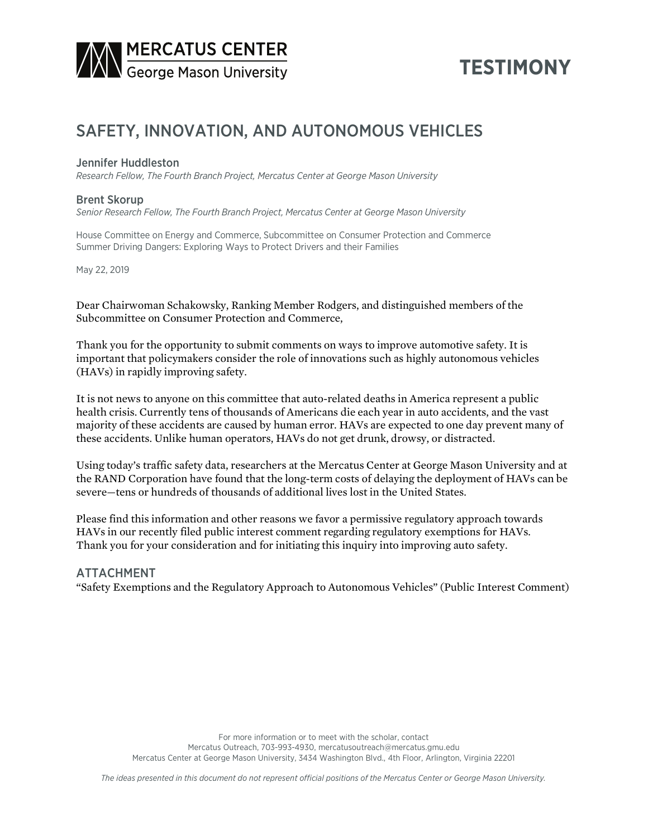

# **TESTIMONY**

# SAFETY, INNOVATION, AND AUTONOMOUS VEHICLES

## Jennifer Huddleston

*Research Fellow, The Fourth Branch Project, Mercatus Center at George Mason University*

### Brent Skorup

*Senior Research Fellow, The Fourth Branch Project, Mercatus Center at George Mason University*

House Committee on Energy and Commerce, Subcommittee on Consumer Protection and Commerce Summer Driving Dangers: Exploring Ways to Protect Drivers and their Families

May 22, 2019

Dear Chairwoman Schakowsky, Ranking Member Rodgers, and distinguished members of the Subcommittee on Consumer Protection and Commerce,

Thank you for the opportunity to submit comments on ways to improve automotive safety. It is important that policymakers consider the role of innovations such as highly autonomous vehicles (HAVs) in rapidly improving safety.

It is not news to anyone on this committee that auto-related deaths in America represent a public health crisis. Currently tens of thousands of Americans die each year in auto accidents, and the vast majority of these accidents are caused by human error. HAVs are expected to one day prevent many of these accidents. Unlike human operators, HAVs do not get drunk, drowsy, or distracted.

Using today's traffic safety data, researchers at the Mercatus Center at George Mason University and at the RAND Corporation have found that the long-term costs of delaying the deployment of HAVs can be severe—tens or hundreds of thousands of additional lives lost in the United States.

Please find this information and other reasons we favor a permissive regulatory approach towards HAVs in our recently filed public interest comment regarding regulatory exemptions for HAVs. Thank you for your consideration and for initiating this inquiry into improving auto safety.

## ATTACHMENT

"Safety Exemptions and the Regulatory Approach to Autonomous Vehicles" (Public Interest Comment)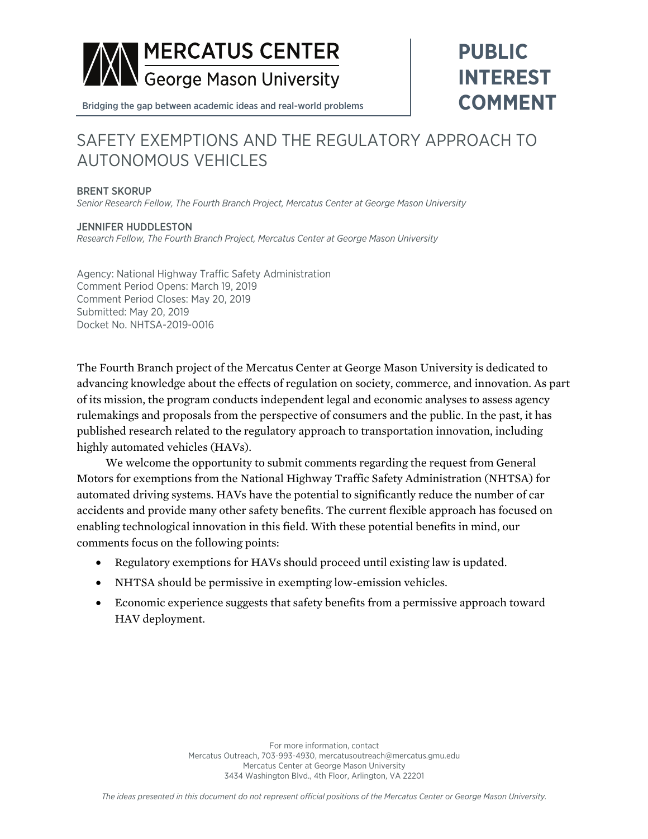

**PUBLIC INTEREST COMMENT**

Bridging the gap between academic ideas and real-world problems

# SAFETY EXEMPTIONS AND THE REGULATORY APPROACH TO AUTONOMOUS VEHICLES

### BRENT SKORUP

*Senior Research Fellow, The Fourth Branch Project, Mercatus Center at George Mason University*

#### JENNIFER HUDDLESTON *Research Fellow, The Fourth Branch Project, Mercatus Center at George Mason University*

Agency: National Highway Traffic Safety Administration Comment Period Opens: March 19, 2019 Comment Period Closes: May 20, 2019 Submitted: May 20, 2019 Docket No. NHTSA-2019-0016

The Fourth Branch project of the Mercatus Center at George Mason University is dedicated to advancing knowledge about the effects of regulation on society, commerce, and innovation. As part of its mission, the program conducts independent legal and economic analyses to assess agency rulemakings and proposals from the perspective of consumers and the public. In the past, it has published research related to the regulatory approach to transportation innovation, including highly automated vehicles (HAVs).

We welcome the opportunity to submit comments regarding the request from General Motors for exemptions from the National Highway Traffic Safety Administration (NHTSA) for automated driving systems. HAVs have the potential to significantly reduce the number of car accidents and provide many other safety benefits. The current flexible approach has focused on enabling technological innovation in this field. With these potential benefits in mind, our comments focus on the following points:

- Regulatory exemptions for HAVs should proceed until existing law is updated.
- NHTSA should be permissive in exempting low-emission vehicles.
- Economic experience suggests that safety benefits from a permissive approach toward HAV deployment.

For more information, contact Mercatus Outreach, 703-993-4930, mercatusoutreach@mercatus.gmu.edu Mercatus Center at George Mason University 3434 Washington Blvd., 4th Floor, Arlington, VA 22201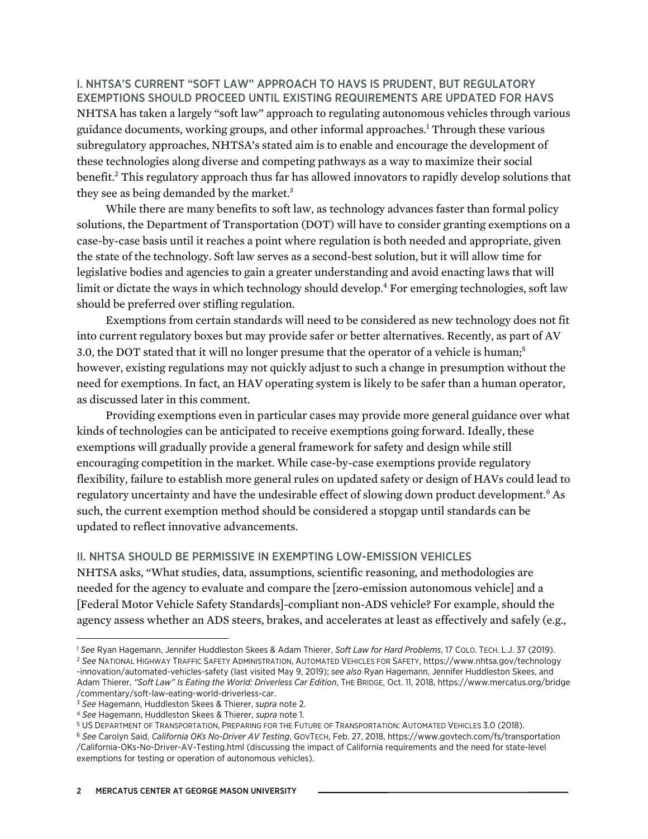I. NHTSA'S CURRENT "SOFT LAW" APPROACH TO HAVS IS PRUDENT, BUT REGULATORY EXEMPTIONS SHOULD PROCEED UNTIL EXISTING REQUIREMENTS ARE UPDATED FOR HAVS NHTSA has taken a largely "soft law" approach to regulating autonomous vehicles through various guidance documents, working groups, and other informal approaches.1 Through these various subregulatory approaches, NHTSA's stated aim is to enable and encourage the development of these technologies along diverse and competing pathways as a way to maximize their social benefit.<sup>2</sup> This regulatory approach thus far has allowed innovators to rapidly develop solutions that they see as being demanded by the market.<sup>3</sup>

While there are many benefits to soft law, as technology advances faster than formal policy solutions, the Department of Transportation (DOT) will have to consider granting exemptions on a case-by-case basis until it reaches a point where regulation is both needed and appropriate, given the state of the technology. Soft law serves as a second-best solution, but it will allow time for legislative bodies and agencies to gain a greater understanding and avoid enacting laws that will limit or dictate the ways in which technology should develop.<sup>4</sup> For emerging technologies, soft law should be preferred over stifling regulation.

Exemptions from certain standards will need to be considered as new technology does not fit into current regulatory boxes but may provide safer or better alternatives. Recently, as part of AV 3.0, the DOT stated that it will no longer presume that the operator of a vehicle is human;<sup>5</sup> however, existing regulations may not quickly adjust to such a change in presumption without the need for exemptions. In fact, an HAV operating system is likely to be safer than a human operator, as discussed later in this comment.

Providing exemptions even in particular cases may provide more general guidance over what kinds of technologies can be anticipated to receive exemptions going forward. Ideally, these exemptions will gradually provide a general framework for safety and design while still encouraging competition in the market. While case-by-case exemptions provide regulatory flexibility, failure to establish more general rules on updated safety or design of HAVs could lead to regulatory uncertainty and have the undesirable effect of slowing down product development.<sup>6</sup> As such, the current exemption method should be considered a stopgap until standards can be updated to reflect innovative advancements.

## II. NHTSA SHOULD BE PERMISSIVE IN EXEMPTING LOW-EMISSION VEHICLES

NHTSA asks, "What studies, data, assumptions, scientific reasoning, and methodologies are needed for the agency to evaluate and compare the [zero-emission autonomous vehicle] and a [Federal Motor Vehicle Safety Standards]-compliant non-ADS vehicle? For example, should the agency assess whether an ADS steers, brakes, and accelerates at least as effectively and safely (e.g.,

l

<sup>1</sup> *See* Ryan Hagemann, Jennifer Huddleston Skees & Adam Thierer, *Soft Law for Hard Problems*, 17 COLO. TECH. L.J. 37 (2019).

<sup>2</sup> *See* NATIONAL HIGHWAY TRAFFIC SAFETY ADMINISTRATION, AUTOMATED VEHICLES FOR SAFETY, [https://www.nhtsa.gov/technology](https://www.nhtsa.gov/technology-innovation/automated-vehicles-safety) [-innovation/automated-vehicles-safety](https://www.nhtsa.gov/technology-innovation/automated-vehicles-safety) (last visited May 9, 2019); *see also* Ryan Hagemann, Jennifer Huddleston Skees, and Adam Thierer, *"Soft Law" Is Eating the World: Driverless Car Edition*, THE BRIDGE, Oct. 11, 2018, [https://www.mercatus.org/bridge](https://www.mercatus.org/bridge/commentary/soft-law-eating-world-driverless-car) [/commentary/soft-law-eating-world-driverless-car](https://www.mercatus.org/bridge/commentary/soft-law-eating-world-driverless-car).

<sup>3</sup> *See* Hagemann, Huddleston Skees & Thierer, *supra* note 2.

<sup>4</sup> *See* Hagemann, Huddleston Skees & Thierer, *supra* note 1.

<sup>5</sup> US DEPARTMENT OF TRANSPORTATION, PREPARING FOR THE FUTURE OF TRANSPORTATION: AUTOMATED VEHICLES 3.0 (2018).

<sup>6</sup> *See* Carolyn Said, *California OKs No-Driver AV Testing*, GOVTECH, Feb. 27, 2018, [https://www.govtech.com/fs/transportation](https://www.govtech.com/fs/transportation/California-OKs-No-Driver-AV-Testing.html) [/California-OKs-No-Driver-AV-Testing.html](https://www.govtech.com/fs/transportation/California-OKs-No-Driver-AV-Testing.html) (discussing the impact of California requirements and the need for state-level exemptions for testing or operation of autonomous vehicles).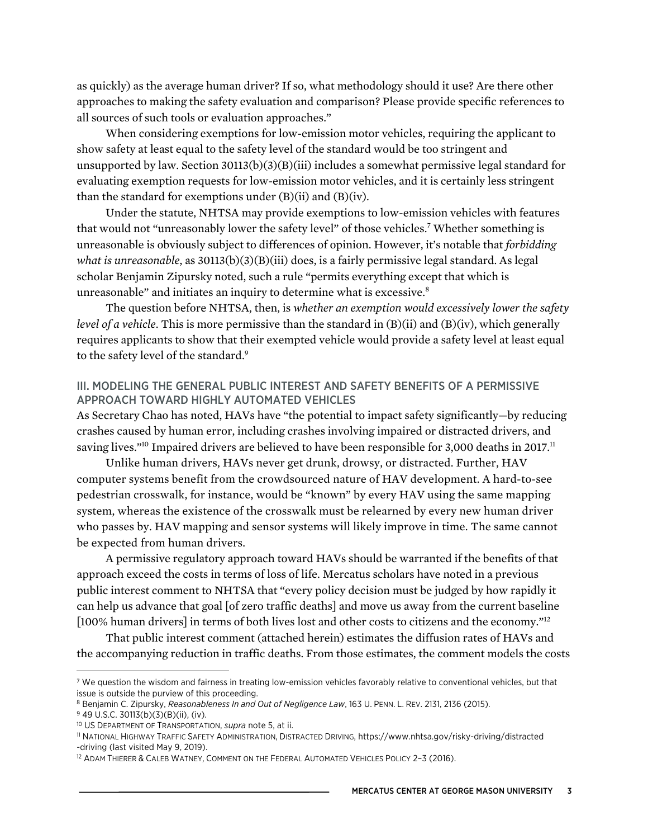as quickly) as the average human driver? If so, what methodology should it use? Are there other approaches to making the safety evaluation and comparison? Please provide specific references to all sources of such tools or evaluation approaches."

When considering exemptions for low-emission motor vehicles, requiring the applicant to show safety at least equal to the safety level of the standard would be too stringent and unsupported by law. Section 30113(b)(3)(B)(iii) includes a somewhat permissive legal standard for evaluating exemption requests for low-emission motor vehicles, and it is certainly less stringent than the standard for exemptions under  $(B)(ii)$  and  $(B)(iv)$ .

Under the statute, NHTSA may provide exemptions to low-emission vehicles with features that would not "unreasonably lower the safety level" of those vehicles.7 Whether something is unreasonable is obviously subject to differences of opinion. However, it's notable that *forbidding what is unreasonable*, as 30113(b)(3)(B)(iii) does, is a fairly permissive legal standard. As legal scholar Benjamin Zipursky noted, such a rule "permits everything except that which is unreasonable" and initiates an inquiry to determine what is excessive.<sup>8</sup>

The question before NHTSA, then, is *whether an exemption would excessively lower the safety level of a vehicle*. This is more permissive than the standard in (B)(ii) and (B)(iv), which generally requires applicants to show that their exempted vehicle would provide a safety level at least equal to the safety level of the standard.<sup>9</sup>

## III. MODELING THE GENERAL PUBLIC INTEREST AND SAFETY BENEFITS OF A PERMISSIVE APPROACH TOWARD HIGHLY AUTOMATED VEHICLES

As Secretary Chao has noted, HAVs have "the potential to impact safety significantly—by reducing crashes caused by human error, including crashes involving impaired or distracted drivers, and saving lives."<sup>10</sup> Impaired drivers are believed to have been responsible for 3,000 deaths in 2017.<sup>11</sup>

Unlike human drivers, HAVs never get drunk, drowsy, or distracted. Further, HAV computer systems benefit from the crowdsourced nature of HAV development. A hard-to-see pedestrian crosswalk, for instance, would be "known" by every HAV using the same mapping system, whereas the existence of the crosswalk must be relearned by every new human driver who passes by. HAV mapping and sensor systems will likely improve in time. The same cannot be expected from human drivers.

A permissive regulatory approach toward HAVs should be warranted if the benefits of that approach exceed the costs in terms of loss of life. Mercatus scholars have noted in a previous public interest comment to NHTSA that "every policy decision must be judged by how rapidly it can help us advance that goal [of zero traffic deaths] and move us away from the current baseline [100% human drivers] in terms of both lives lost and other costs to citizens and the economy."12

That public interest comment (attached herein) estimates the diffusion rates of HAVs and the accompanying reduction in traffic deaths. From those estimates, the comment models the costs

 $\overline{a}$ 

<sup>&</sup>lt;sup>7</sup> We question the wisdom and fairness in treating low-emission vehicles favorably relative to conventional vehicles, but that issue is outside the purview of this proceeding.

<sup>8</sup> Benjamin C. Zipursky, *Reasonableness In and Out of Negligence Law*, 163 U. PENN. L. REV. 2131, 2136 (2015).

<sup>9</sup> 49 U.S.C. 30113(b)(3)(B)(ii), (iv).

<sup>10</sup> US DEPARTMENT OF TRANSPORTATION, *supra* note 5, at ii.

<sup>11</sup> NATIONAL HIGHWAY TRAFFIC SAFETY ADMINISTRATION, DISTRACTED DRIVING, [https://www.nhtsa.gov/risky-driving/distracted](https://www.nhtsa.gov/risky-driving/distracted-driving) [-driving](https://www.nhtsa.gov/risky-driving/distracted-driving) (last visited May 9, 2019).

<sup>&</sup>lt;sup>12</sup> ADAM THIERER & CALEB WATNEY, COMMENT ON THE FEDERAL AUTOMATED VEHICLES POLICY 2-3 (2016).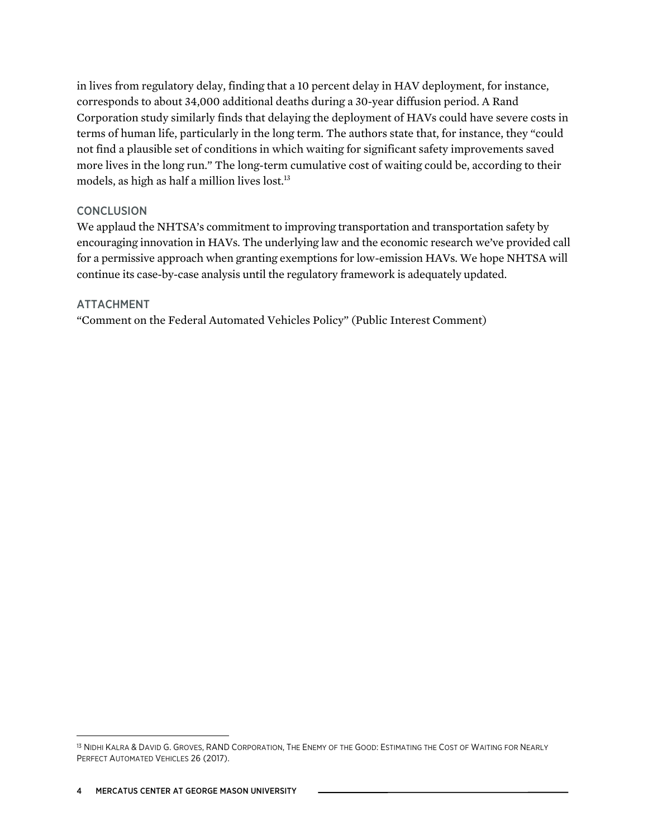in lives from regulatory delay, finding that a 10 percent delay in HAV deployment, for instance, corresponds to about 34,000 additional deaths during a 30-year diffusion period. A Rand Corporation study similarly finds that delaying the deployment of HAVs could have severe costs in terms of human life, particularly in the long term. The authors state that, for instance, they "could not find a plausible set of conditions in which waiting for significant safety improvements saved more lives in the long run." The long-term cumulative cost of waiting could be, according to their models, as high as half a million lives lost.<sup>13</sup>

## **CONCLUSION**

We applaud the NHTSA's commitment to improving transportation and transportation safety by encouraging innovation in HAVs. The underlying law and the economic research we've provided call for a permissive approach when granting exemptions for low-emission HAVs. We hope NHTSA will continue its case-by-case analysis until the regulatory framework is adequately updated.

## ATTACHMENT

"Comment on the Federal Automated Vehicles Policy" (Public Interest Comment)

 $\overline{a}$ 

<sup>&</sup>lt;sup>13</sup> NIDHI KALRA & DAVID G. GROVES, RAND CORPORATION, THE ENEMY OF THE GOOD: ESTIMATING THE COST OF WAITING FOR NEARLY PERFECT AUTOMATED VEHICLES 26 (2017).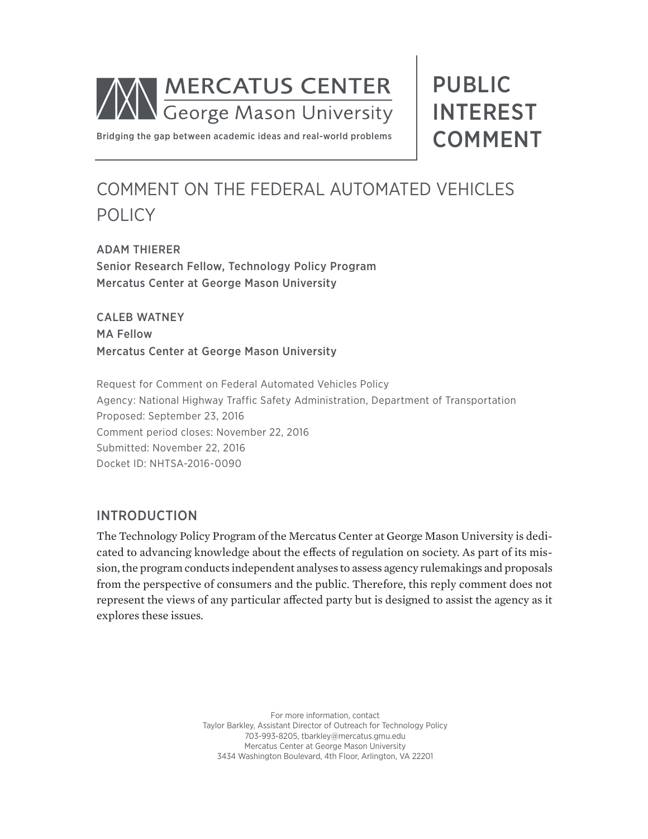

PUBLIC INTEREST COMMENT

[Bridging the gap between academic ideas and real-world problems](http://mercatus.org)

# COMMENT ON THE FEDERAL AUTOMATED VEHICLES POLICY

ADAM THIERER Senior Research Fellow, Technology Policy Program Mercatus Center at George Mason University

CALEB WATNEY MA Fellow Mercatus Center at George Mason University

Request for Comment on Federal Automated Vehicles Policy Agency: National Highway Traffic Safety Administration, Department of Transportation Proposed: September 23, 2016 Comment period closes: November 22, 2016 Submitted: November 22, 2016 Docket ID: NHTSA-2016-0090

## INTRODUCTION

The Technology Policy Program of the Mercatus Center at George Mason University is dedicated to advancing knowledge about the effects of regulation on society. As part of its mission, the program conducts independent analyses to assess agency rulemakings and proposals from the perspective of consumers and the public. Therefore, this reply comment does not represent the views of any particular affected party but is designed to assist the agency as it explores these issues.

> For more information, contact Taylor Barkley, Assistant Director of Outreach for Technology Policy 703-993-8205, [tbarkley@mercatus.gmu.edu](mailto:tbarkley@mercatus.gmu.edu) Mercatus Center at George Mason University 3434 Washington Boulevard, 4th Floor, Arlington, VA 22201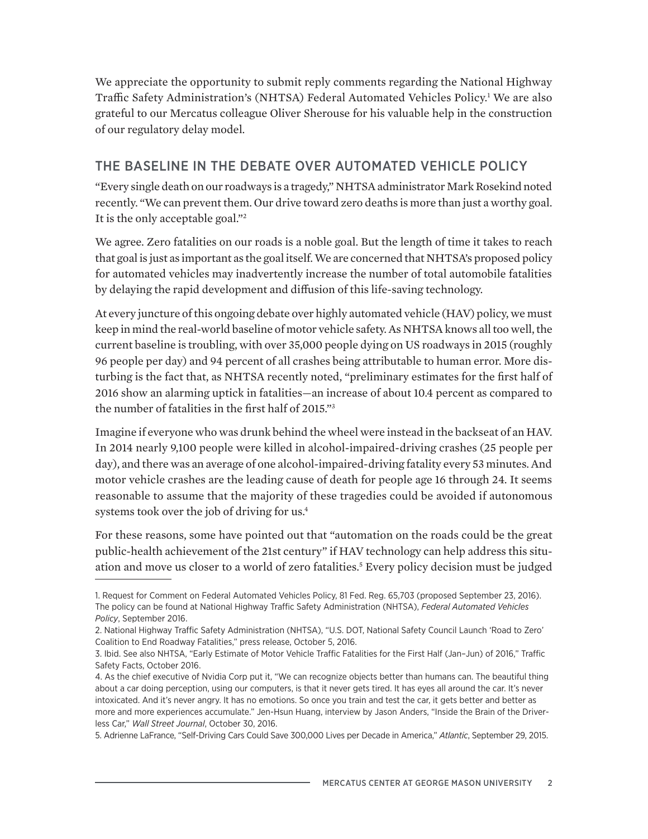We appreciate the opportunity to submit reply comments regarding the National Highway Traffic Safety Administration's (NHTSA) Federal Automated Vehicles Policy.1 We are also grateful to our Mercatus colleague Oliver Sherouse for his valuable help in the construction of our regulatory delay model.

# THE BASELINE IN THE DEBATE OVER AUTOMATED VEHICLE POLICY

"Every single death on our roadways is a tragedy," NHTSA administrator Mark Rosekind noted recently. "We can prevent them. Our drive toward zero deaths is more than just a worthy goal. It is the only acceptable goal."2

We agree. Zero fatalities on our roads is a noble goal. But the length of time it takes to reach that goal is just as important as the goal itself. We are concerned that NHTSA's proposed policy for automated vehicles may inadvertently increase the number of total automobile fatalities by delaying the rapid development and diffusion of this life-saving technology.

At every juncture of this ongoing debate over highly automated vehicle (HAV) policy, we must keep in mind the real-world baseline of motor vehicle safety. As NHTSA knows all too well, the current baseline is troubling, with over 35,000 people dying on US roadways in 2015 (roughly 96 people per day) and 94 percent of all crashes being attributable to human error. More disturbing is the fact that, as NHTSA recently noted, "preliminary estimates for the first half of 2016 show an alarming uptick in fatalities—an increase of about 10.4 percent as compared to the number of fatalities in the first half of 2015."3

Imagine if everyone who was drunk behind the wheel were instead in the backseat of an HAV. In 2014 nearly 9,100 people were killed in alcohol-impaired-driving crashes (25 people per day), and there was an average of one alcohol-impaired-driving fatality every 53 minutes. And motor vehicle crashes are the leading cause of death for people age 16 through 24. It seems reasonable to assume that the majority of these tragedies could be avoided if autonomous systems took over the job of driving for us.<sup>4</sup>

For these reasons, some have pointed out that "automation on the roads could be the great public-health achievement of the 21st century" if HAV technology can help address this situation and move us closer to a world of zero fatalities.<sup>5</sup> Every policy decision must be judged

<sup>1.</sup> Request for Comment on Federal Automated Vehicles Policy, 81 Fed. Reg. 65,703 (proposed September 23, 2016). The policy can be found at National Highway Traffic Safety Administration (NHTSA), *Federal Automated Vehicles Policy*, September 2016.

<sup>2.</sup> National Highway Traffic Safety Administration (NHTSA), "U.S. DOT, National Safety Council Launch 'Road to Zero' Coalition to End Roadway Fatalities," press release, October 5, 2016.

<sup>3.</sup> Ibid. See also NHTSA, "Early Estimate of Motor Vehicle Traffic Fatalities for the First Half (Jan–Jun) of 2016," Traffic Safety Facts, October 2016.

<sup>4.</sup> As the chief executive of Nvidia Corp put it, "We can recognize objects better than humans can. The beautiful thing about a car doing perception, using our computers, is that it never gets tired. It has eyes all around the car. It's never intoxicated. And it's never angry. It has no emotions. So once you train and test the car, it gets better and better as more and more experiences accumulate." Jen-Hsun Huang, interview by Jason Anders, "Inside the Brain of the Driverless Car," *Wall Street Journal*, October 30, 2016.

<sup>5.</sup> Adrienne LaFrance, "Self-Driving Cars Could Save 300,000 Lives per Decade in America," *Atlantic*, September 29, 2015.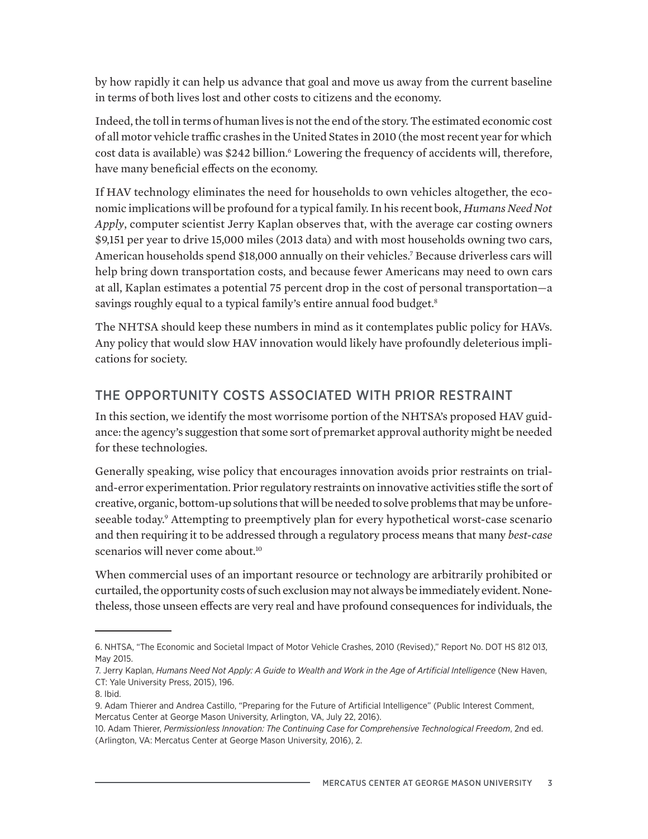by how rapidly it can help us advance that goal and move us away from the current baseline in terms of both lives lost and other costs to citizens and the economy.

Indeed, the toll in terms of human lives is not the end of the story. The estimated economic cost of all motor vehicle traffic crashes in the United States in 2010 (the most recent year for which cost data is available) was \$242 billion.<sup>6</sup> Lowering the frequency of accidents will, therefore, have many beneficial effects on the economy.

If HAV technology eliminates the need for households to own vehicles altogether, the economic implications will be profound for a typical family. In his recent book, *Humans Need Not Apply*, computer scientist Jerry Kaplan observes that, with the average car costing owners \$9,151 per year to drive 15,000 miles (2013 data) and with most households owning two cars, American households spend \$18,000 annually on their vehicles.7 Because driverless cars will help bring down transportation costs, and because fewer Americans may need to own cars at all, Kaplan estimates a potential 75 percent drop in the cost of personal transportation—a savings roughly equal to a typical family's entire annual food budget.<sup>8</sup>

The NHTSA should keep these numbers in mind as it contemplates public policy for HAVs. Any policy that would slow HAV innovation would likely have profoundly deleterious implications for society.

# THE OPPORTUNITY COSTS ASSOCIATED WITH PRIOR RESTRAINT

In this section, we identify the most worrisome portion of the NHTSA's proposed HAV guidance: the agency's suggestion that some sort of premarket approval authority might be needed for these technologies.

Generally speaking, wise policy that encourages innovation avoids prior restraints on trialand-error experimentation. Prior regulatory restraints on innovative activities stifle the sort of creative, organic, bottom-up solutions that will be needed to solve problems that may be unforeseeable today.<sup>9</sup> Attempting to preemptively plan for every hypothetical worst-case scenario and then requiring it to be addressed through a regulatory process means that many *best-case* scenarios will never come about.<sup>10</sup>

When commercial uses of an important resource or technology are arbitrarily prohibited or curtailed, the opportunity costs of such exclusion may not always be immediately evident. Nonetheless, those unseen effects are very real and have profound consequences for individuals, the

<sup>6.</sup> NHTSA, "The Economic and Societal Impact of Motor Vehicle Crashes, 2010 (Revised)," Report No. DOT HS 812 013, May 2015.

<sup>7.</sup> Jerry Kaplan, *Humans Need Not Apply: A Guide to Wealth and Work in the Age of Artificial Intelligence* (New Haven, CT: Yale University Press, 2015), 196.

<sup>8.</sup> Ibid.

<sup>9.</sup> Adam Thierer and Andrea Castillo, "Preparing for the Future of Artificial Intelligence" (Public Interest Comment, Mercatus Center at George Mason University, Arlington, VA, July 22, 2016).

<sup>10.</sup> Adam Thierer, *Permissionless Innovation: The Continuing Case for Comprehensive Technological Freedom*, 2nd ed. (Arlington, VA: Mercatus Center at George Mason University, 2016), 2.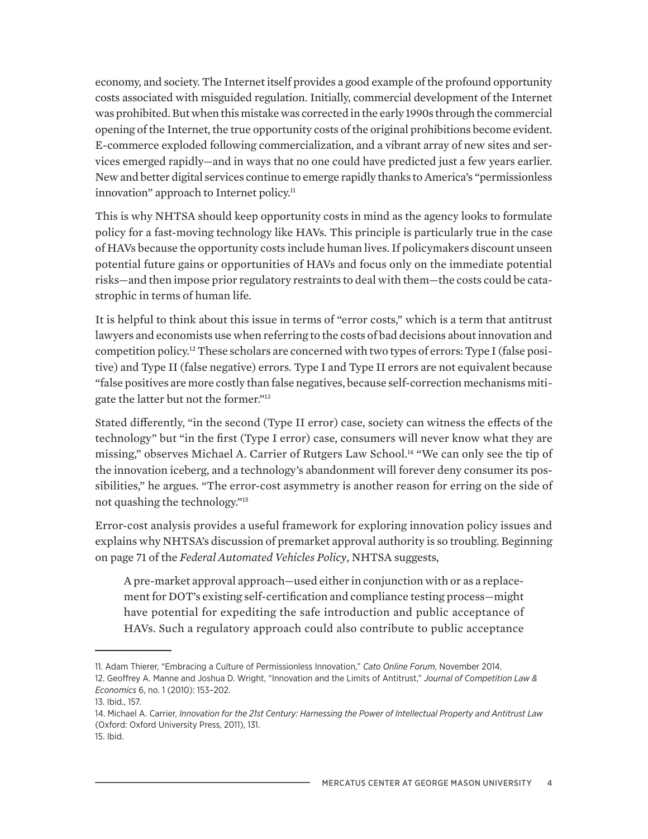economy, and society. The Internet itself provides a good example of the profound opportunity costs associated with misguided regulation. Initially, commercial development of the Internet was prohibited. But when this mistake was corrected in the early 1990s through the commercial opening of the Internet, the true opportunity costs of the original prohibitions become evident. E-commerce exploded following commercialization, and a vibrant array of new sites and services emerged rapidly—and in ways that no one could have predicted just a few years earlier. New and better digital services continue to emerge rapidly thanks to America's "permissionless innovation" approach to Internet policy.<sup>11</sup>

This is why NHTSA should keep opportunity costs in mind as the agency looks to formulate policy for a fast-moving technology like HAVs. This principle is particularly true in the case of HAVs because the opportunity costs include human lives. If policymakers discount unseen potential future gains or opportunities of HAVs and focus only on the immediate potential risks—and then impose prior regulatory restraints to deal with them—the costs could be catastrophic in terms of human life.

It is helpful to think about this issue in terms of "error costs," which is a term that antitrust lawyers and economists use when referring to the costs of bad decisions about innovation and competition policy.12 These scholars are concerned with two types of errors: Type I (false positive) and Type II (false negative) errors. Type I and Type II errors are not equivalent because "false positives are more costly than false negatives, because self-correction mechanisms mitigate the latter but not the former."13

Stated differently, "in the second (Type II error) case, society can witness the effects of the technology" but "in the first (Type I error) case, consumers will never know what they are missing," observes Michael A. Carrier of Rutgers Law School.<sup>14</sup> "We can only see the tip of the innovation iceberg, and a technology's abandonment will forever deny consumer its possibilities," he argues. "The error-cost asymmetry is another reason for erring on the side of not quashing the technology."15

Error-cost analysis provides a useful framework for exploring innovation policy issues and explains why NHTSA's discussion of premarket approval authority is so troubling. Beginning on page 71 of the *Federal Automated Vehicles Policy*, NHTSA suggests,

A pre-market approval approach—used either in conjunction with or as a replacement for DOT's existing self-certification and compliance testing process—might have potential for expediting the safe introduction and public acceptance of HAVs. Such a regulatory approach could also contribute to public acceptance

<sup>11.</sup> Adam Thierer, "Embracing a Culture of Permissionless Innovation," *Cato Online Forum*, November 2014. 12. Geoffrey A. Manne and Joshua D. Wright, "Innovation and the Limits of Antitrust," *Journal of Competition Law & Economics* 6, no. 1 (2010): 153–202.

<sup>13.</sup> Ibid., 157.

<sup>14.</sup> Michael A. Carrier, *Innovation for the 21st Century: Harnessing the Power of Intellectual Property and Antitrust Law* (Oxford: Oxford University Press, 2011), 131.

<sup>15.</sup> Ibid.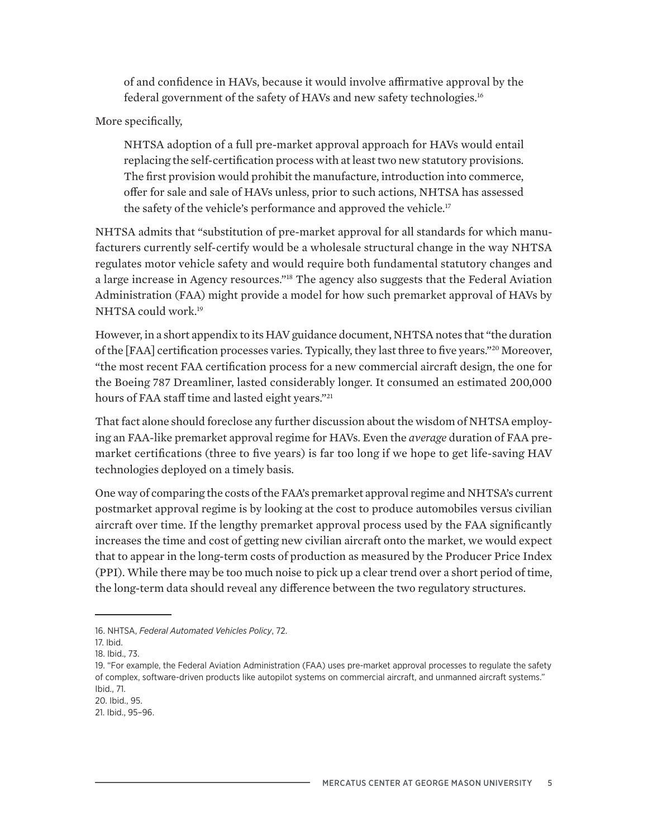of and confidence in HAVs, because it would involve affirmative approval by the federal government of the safety of HAVs and new safety technologies.16

## More specifically,

NHTSA adoption of a full pre-market approval approach for HAVs would entail replacing the self-certification process with at least two new statutory provisions. The first provision would prohibit the manufacture, introduction into commerce, offer for sale and sale of HAVs unless, prior to such actions, NHTSA has assessed the safety of the vehicle's performance and approved the vehicle.<sup>17</sup>

NHTSA admits that "substitution of pre-market approval for all standards for which manufacturers currently self-certify would be a wholesale structural change in the way NHTSA regulates motor vehicle safety and would require both fundamental statutory changes and a large increase in Agency resources."<sup>18</sup> The agency also suggests that the Federal Aviation Administration (FAA) might provide a model for how such premarket approval of HAVs by NHTSA could work.19

However, in a short appendix to its HAV guidance document, NHTSA notes that "the duration of the [FAA] certification processes varies. Typically, they last three to five years."20 Moreover, "the most recent FAA certification process for a new commercial aircraft design, the one for the Boeing 787 Dreamliner, lasted considerably longer. It consumed an estimated 200,000 hours of FAA staff time and lasted eight years."<sup>21</sup>

That fact alone should foreclose any further discussion about the wisdom of NHTSA employing an FAA-like premarket approval regime for HAVs. Even the *average* duration of FAA premarket certifications (three to five years) is far too long if we hope to get life-saving HAV technologies deployed on a timely basis.

One way of comparing the costs of the FAA's premarket approval regime and NHTSA's current postmarket approval regime is by looking at the cost to produce automobiles versus civilian aircraft over time. If the lengthy premarket approval process used by the FAA significantly increases the time and cost of getting new civilian aircraft onto the market, we would expect that to appear in the long-term costs of production as measured by the Producer Price Index (PPI). While there may be too much noise to pick up a clear trend over a short period of time, the long-term data should reveal any difference between the two regulatory structures.

<sup>16.</sup> NHTSA, *Federal Automated Vehicles Policy*, 72.

<sup>17.</sup> Ibid.

<sup>18.</sup> Ibid., 73.

<sup>19. &</sup>quot;For example, the Federal Aviation Administration (FAA) uses pre-market approval processes to regulate the safety of complex, software-driven products like autopilot systems on commercial aircraft, and unmanned aircraft systems." Ibid., 71.

<sup>20.</sup> Ibid., 95.

<sup>21.</sup> Ibid., 95–96.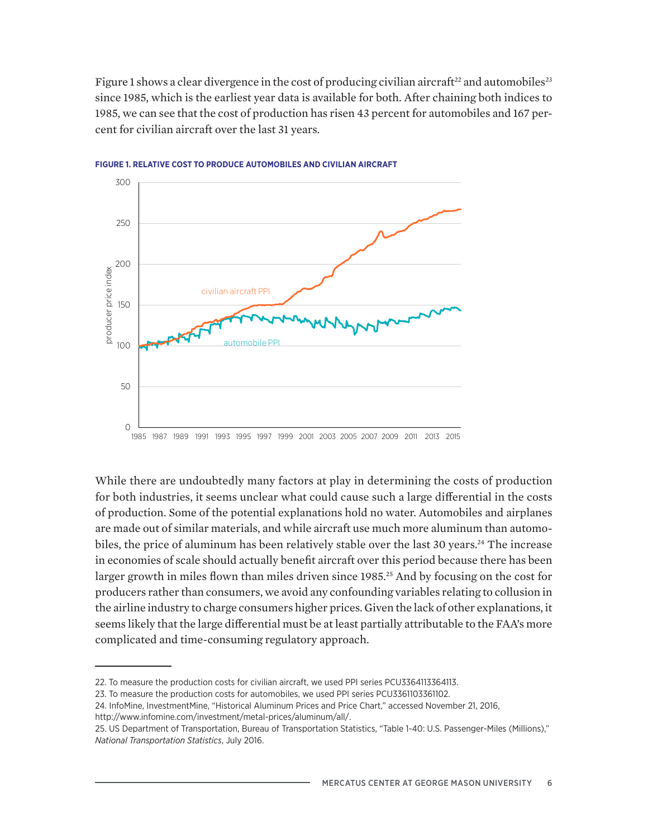Figure 1 shows a clear divergence in the cost of producing civilian aircraft<sup>22</sup> and automobiles<sup>23</sup> since 1985, which is the earliest year data is available for both. After chaining both indices to 1985, we can see that the cost of production has risen 43 percent for automobiles and 167 percent for civilian aircraft over the last 31 years.



**FIGURE 1. RELATIVE COST TO PRODUCE AUTOMOBILES AND CIVILIAN AIRCRAFT**

While there are undoubtedly many factors at play in determining the costs of production for both industries, it seems unclear what could cause such a large differential in the costs of production. Some of the potential explanations hold no water. Automobiles and airplanes are made out of similar materials, and while aircraft use much more aluminum than automobiles, the price of aluminum has been relatively stable over the last 30 years.<sup>24</sup> The increase in economies of scale should actually benefit aircraft over this period because there has been larger growth in miles flown than miles driven since 1985.<sup>25</sup> And by focusing on the cost for producers rather than consumers, we avoid any confounding variables relating to collusion in the airline industry to charge consumers higher prices. Given the lack of other explanations, it seems likely that the large differential must be at least partially attributable to the FAA's more complicated and time-consuming regulatory approach.

[http://www.infomine.com/investment/metal-prices/aluminum/all/.](http://www.infomine.com/investment/metal-prices/aluminum/all/)

<sup>22.</sup> To measure the production costs for civilian aircraft, we used PPI series PCU3364113364113.

<sup>23.</sup> To measure the production costs for automobiles, we used PPI series PCU3361103361102.

<sup>24.</sup> InfoMine, InvestmentMine, "Historical Aluminum Prices and Price Chart," accessed November 21, 2016,

<sup>25.</sup> US Department of Transportation, Bureau of Transportation Statistics, "Table 1-40: U.S. Passenger-Miles (Millions)," *National Transportation Statistics*, July 2016.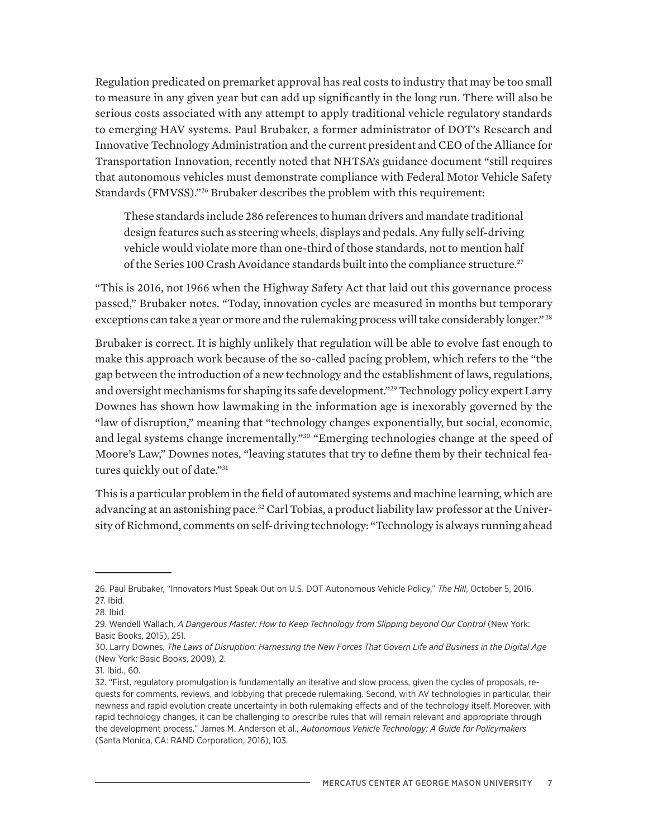Regulation predicated on premarket approval has real costs to industry that may be too small to measure in any given year but can add up significantly in the long run. There will also be serious costs associated with any attempt to apply traditional vehicle regulatory standards to emerging HAV systems. Paul Brubaker, a former administrator of DOT's Research and Innovative Technology Administration and the current president and CEO of the Alliance for Transportation Innovation, recently noted that NHTSA's guidance document "still requires that autonomous vehicles must demonstrate compliance with Federal Motor Vehicle Safety Standards (FMVSS)."26 Brubaker describes the problem with this requirement:

These standards include 286 references to human drivers and mandate traditional design features such as steering wheels, displays and pedals. Any fully self-driving vehicle would violate more than one-third of those standards, not to mention half of the Series 100 Crash Avoidance standards built into the compliance structure.<sup>27</sup>

"This is 2016, not 1966 when the Highway Safety Act that laid out this governance process passed," Brubaker notes. "Today, innovation cycles are measured in months but temporary exceptions can take a year or more and the rulemaking process will take considerably longer."<sup>28</sup>

Brubaker is correct. It is highly unlikely that regulation will be able to evolve fast enough to make this approach work because of the so-called pacing problem, which refers to the "the gap between the introduction of a new technology and the establishment of laws, regulations, and oversight mechanisms for shaping its safe development."29 Technology policy expert Larry Downes has shown how lawmaking in the information age is inexorably governed by the "law of disruption," meaning that "technology changes exponentially, but social, economic, and legal systems change incrementally."30 "Emerging technologies change at the speed of Moore's Law," Downes notes, "leaving statutes that try to define them by their technical features quickly out of date."31

This is a particular problem in the field of automated systems and machine learning, which are advancing at an astonishing pace.32 Carl Tobias, a product liability law professor at the University of Richmond, comments on self-driving technology: "Technology is always running ahead

<sup>26.</sup> Paul Brubaker, "Innovators Must Speak Out on U.S. DOT Autonomous Vehicle Policy," *The Hill*, October 5, 2016. 27. Ibid.

<sup>28.</sup> Ibid.

<sup>29.</sup> Wendell Wallach, *A Dangerous Master: How to Keep Technology from Slipping beyond Our Control* (New York: Basic Books, 2015), 251.

<sup>30.</sup> Larry Downes, *The Laws of Disruption: Harnessing the New Forces That Govern Life and Business in the Digital Age* (New York: Basic Books, 2009), 2.

<sup>31.</sup> Ibid., 60.

<sup>32. &</sup>quot;First, regulatory promulgation is fundamentally an iterative and slow process, given the cycles of proposals, requests for comments, reviews, and lobbying that precede rulemaking. Second, with AV technologies in particular, their newness and rapid evolution create uncertainty in both rulemaking effects and of the technology itself. Moreover, with rapid technology changes, it can be challenging to prescribe rules that will remain relevant and appropriate through the development process." James M. Anderson et al., *Autonomous Vehicle Technology: A Guide for Policymakers* (Santa Monica, CA: RAND Corporation, 2016), 103.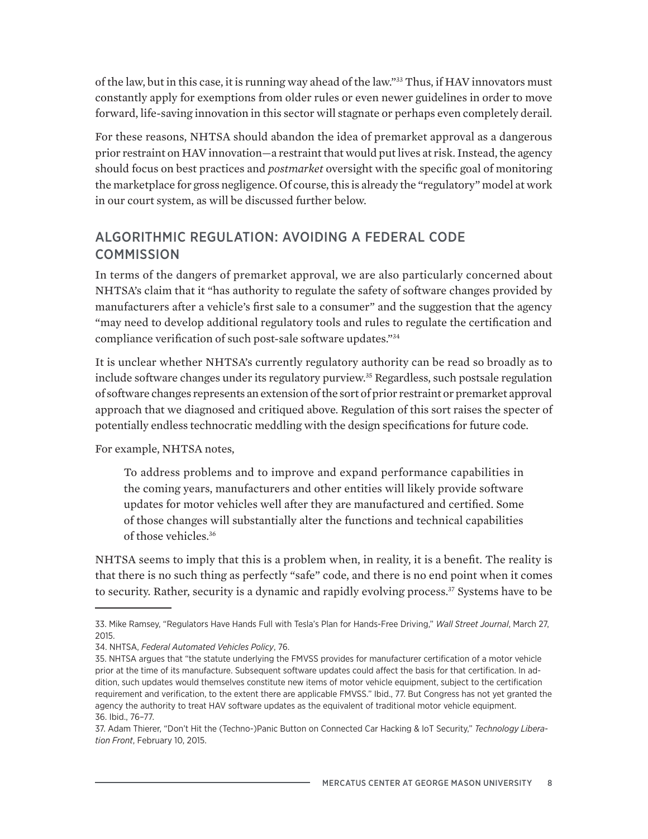of the law, but in this case, it is running way ahead of the law."33 Thus, if HAV innovators must constantly apply for exemptions from older rules or even newer guidelines in order to move forward, life-saving innovation in this sector will stagnate or perhaps even completely derail.

For these reasons, NHTSA should abandon the idea of premarket approval as a dangerous prior restraint on HAV innovation—a restraint that would put lives at risk. Instead, the agency should focus on best practices and *postmarket* oversight with the specific goal of monitoring the marketplace for gross negligence. Of course, this is already the "regulatory" model at work in our court system, as will be discussed further below.

# ALGORITHMIC REGULATION: AVOIDING A FEDERAL CODE **COMMISSION**

In terms of the dangers of premarket approval, we are also particularly concerned about NHTSA's claim that it "has authority to regulate the safety of software changes provided by manufacturers after a vehicle's first sale to a consumer" and the suggestion that the agency "may need to develop additional regulatory tools and rules to regulate the certification and compliance verification of such post-sale software updates."34

It is unclear whether NHTSA's currently regulatory authority can be read so broadly as to include software changes under its regulatory purview.<sup>35</sup> Regardless, such postsale regulation of software changes represents an extension of the sort of prior restraint or premarket approval approach that we diagnosed and critiqued above. Regulation of this sort raises the specter of potentially endless technocratic meddling with the design specifications for future code.

For example, NHTSA notes,

To address problems and to improve and expand performance capabilities in the coming years, manufacturers and other entities will likely provide software updates for motor vehicles well after they are manufactured and certified. Some of those changes will substantially alter the functions and technical capabilities of those vehicles.36

NHTSA seems to imply that this is a problem when, in reality, it is a benefit. The reality is that there is no such thing as perfectly "safe" code, and there is no end point when it comes to security. Rather, security is a dynamic and rapidly evolving process.<sup>37</sup> Systems have to be

<sup>33.</sup> Mike Ramsey, "Regulators Have Hands Full with Tesla's Plan for Hands-Free Driving," *Wall Street Journal*, March 27, 2015.

<sup>34.</sup> NHTSA, *Federal Automated Vehicles Policy*, 76.

<sup>35.</sup> NHTSA argues that "the statute underlying the FMVSS provides for manufacturer certification of a motor vehicle prior at the time of its manufacture. Subsequent software updates could affect the basis for that certification. In addition, such updates would themselves constitute new items of motor vehicle equipment, subject to the certification requirement and verification, to the extent there are applicable FMVSS." Ibid., 77. But Congress has not yet granted the agency the authority to treat HAV software updates as the equivalent of traditional motor vehicle equipment. 36. Ibid., 76–77.

<sup>37.</sup> Adam Thierer, "Don't Hit the (Techno-)Panic Button on Connected Car Hacking & IoT Security," *Technology Liberation Front*, February 10, 2015.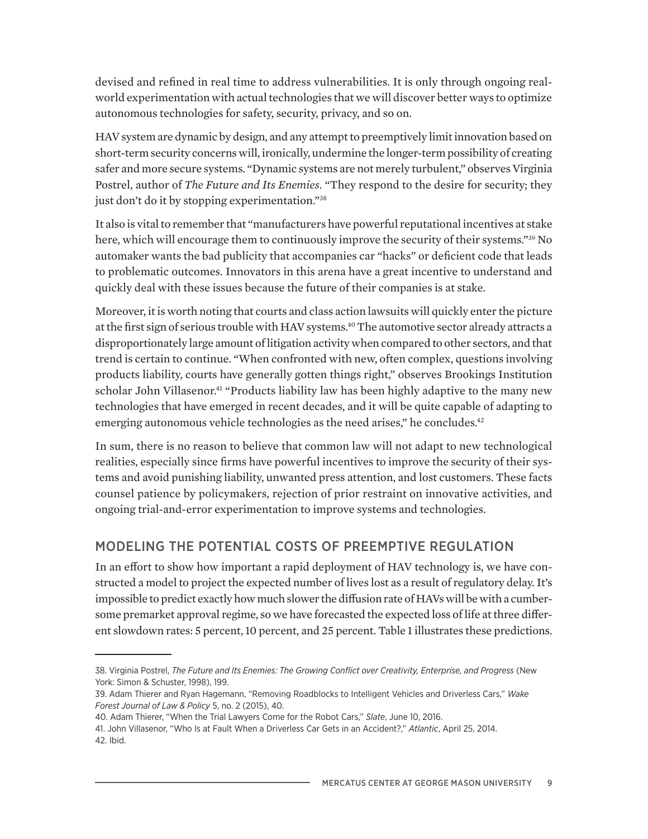devised and refined in real time to address vulnerabilities. It is only through ongoing realworld experimentation with actual technologies that we will discover better ways to optimize autonomous technologies for safety, security, privacy, and so on.

HAV system are dynamic by design, and any attempt to preemptively limit innovation based on short-term security concerns will, ironically, undermine the longer-term possibility of creating safer and more secure systems. "Dynamic systems are not merely turbulent," observes Virginia Postrel, author of *The Future and Its Enemies*. "They respond to the desire for security; they just don't do it by stopping experimentation."<sup>38</sup>

It also is vital to remember that "manufacturers have powerful reputational incentives at stake here, which will encourage them to continuously improve the security of their systems."<sup>39</sup> No automaker wants the bad publicity that accompanies car "hacks" or deficient code that leads to problematic outcomes. Innovators in this arena have a great incentive to understand and quickly deal with these issues because the future of their companies is at stake.

Moreover, it is worth noting that courts and class action lawsuits will quickly enter the picture at the first sign of serious trouble with HAV systems.<sup>40</sup> The automotive sector already attracts a disproportionately large amount of litigation activity when compared to other sectors, and that trend is certain to continue. "When confronted with new, often complex, questions involving products liability, courts have generally gotten things right," observes Brookings Institution scholar John Villasenor.<sup>41</sup> "Products liability law has been highly adaptive to the many new technologies that have emerged in recent decades, and it will be quite capable of adapting to emerging autonomous vehicle technologies as the need arises," he concludes.<sup>42</sup>

In sum, there is no reason to believe that common law will not adapt to new technological realities, especially since firms have powerful incentives to improve the security of their systems and avoid punishing liability, unwanted press attention, and lost customers. These facts counsel patience by policymakers, rejection of prior restraint on innovative activities, and ongoing trial-and-error experimentation to improve systems and technologies.

# MODELING THE POTENTIAL COSTS OF PREEMPTIVE REGULATION

In an effort to show how important a rapid deployment of HAV technology is, we have constructed a model to project the expected number of lives lost as a result of regulatory delay. It's impossible to predict exactly how much slower the diffusion rate of HAVs will be with a cumbersome premarket approval regime, so we have forecasted the expected loss of life at three different slowdown rates: 5 percent, 10 percent, and 25 percent. Table 1 illustrates these predictions.

<sup>38.</sup> Virginia Postrel, *The Future and Its Enemies: The Growing Conflict over Creativity, Enterprise, and Progress* (New York: Simon & Schuster, 1998), 199.

<sup>39.</sup> Adam Thierer and Ryan Hagemann, "Removing Roadblocks to Intelligent Vehicles and Driverless Cars," *Wake Forest Journal of Law & Policy* 5, no. 2 (2015), 40.

<sup>40.</sup> Adam Thierer, "When the Trial Lawyers Come for the Robot Cars," *Slate*, June 10, 2016.

<sup>41.</sup> John Villasenor, "Who Is at Fault When a Driverless Car Gets in an Accident?," *Atlantic*, April 25, 2014. 42. Ibid.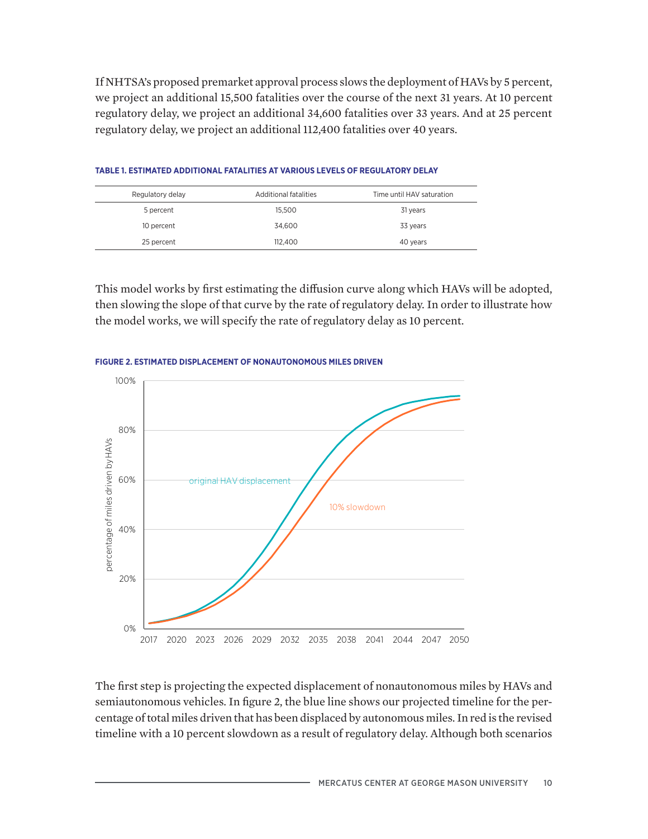If NHTSA's proposed premarket approval process slows the deployment of HAVs by 5 percent, we project an additional 15,500 fatalities over the course of the next 31 years. At 10 percent regulatory delay, we project an additional 34,600 fatalities over 33 years. And at 25 percent regulatory delay, we project an additional 112,400 fatalities over 40 years.

| Regulatory delay | Additional fatalities | Time until HAV saturation |
|------------------|-----------------------|---------------------------|
| 5 percent        | 15.500                | 31 years                  |
| 10 percent       | 34.600                | 33 years                  |
| 25 percent       | 112,400               | 40 years                  |

### **TABLE 1. ESTIMATED ADDITIONAL FATALITIES AT VARIOUS LEVELS OF REGULATORY DELAY**

This model works by first estimating the diffusion curve along which HAVs will be adopted, then slowing the slope of that curve by the rate of regulatory delay. In order to illustrate how the model works, we will specify the rate of regulatory delay as 10 percent.



#### **FIGURE 2. ESTIMATED DISPLACEMENT OF NONAUTONOMOUS MILES DRIVEN**

The first step is projecting the expected displacement of nonautonomous miles by HAVs and semiautonomous vehicles. In figure 2, the blue line shows our projected timeline for the percentage of total miles driven that has been displaced by autonomous miles. In red is the revised timeline with a 10 percent slowdown as a result of regulatory delay. Although both scenarios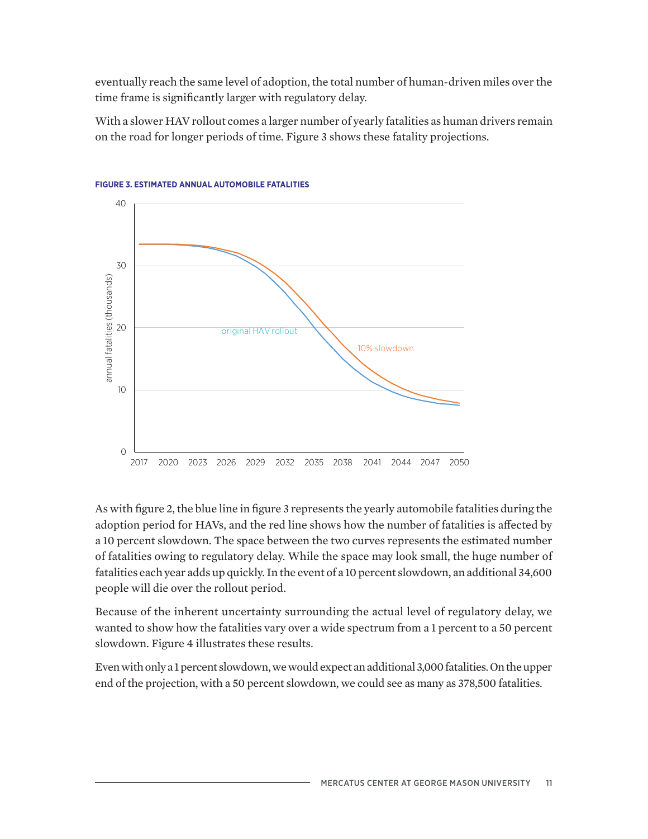eventually reach the same level of adoption, the total number of human-driven miles over the time frame is significantly larger with regulatory delay.

With a slower HAV rollout comes a larger number of yearly fatalities as human drivers remain on the road for longer periods of time. Figure 3 shows these fatality projections.





As with figure 2, the blue line in figure 3 represents the yearly automobile fatalities during the adoption period for HAVs, and the red line shows how the number of fatalities is affected by a 10 percent slowdown. The space between the two curves represents the estimated number of fatalities owing to regulatory delay. While the space may look small, the huge number of fatalities each year adds up quickly. In the event of a 10 percent slowdown, an additional 34,600 people will die over the rollout period.

Because of the inherent uncertainty surrounding the actual level of regulatory delay, we wanted to show how the fatalities vary over a wide spectrum from a 1 percent to a 50 percent slowdown. Figure 4 illustrates these results.

Even with only a 1 percent slowdown, we would expect an additional 3,000 fatalities. On the upper end of the projection, with a 50 percent slowdown, we could see as many as 378,500 fatalities.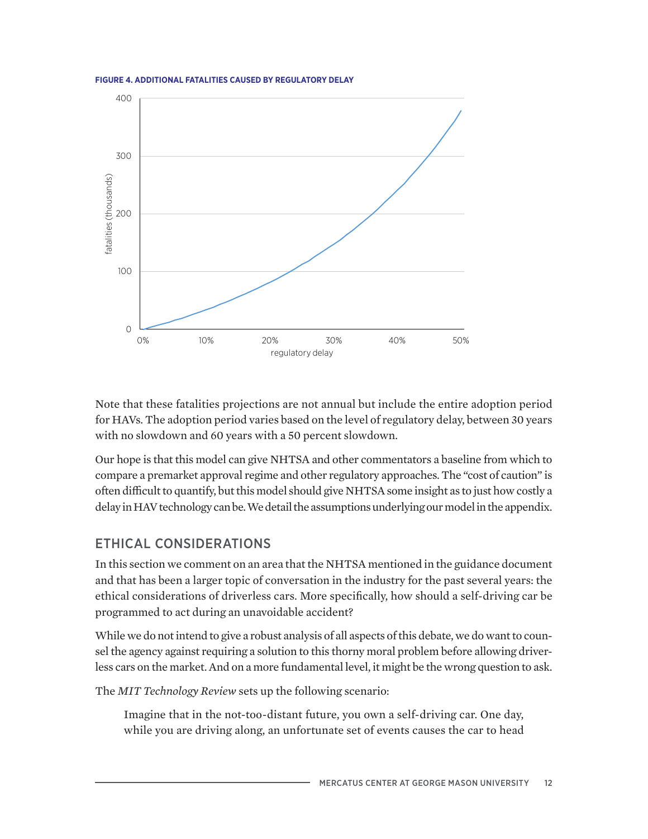**FIGURE 4. ADDITIONAL FATALITIES CAUSED BY REGULATORY DELAY**



Note that these fatalities projections are not annual but include the entire adoption period for HAVs. The adoption period varies based on the level of regulatory delay, between 30 years with no slowdown and 60 years with a 50 percent slowdown.

Our hope is that this model can give NHTSA and other commentators a baseline from which to compare a premarket approval regime and other regulatory approaches. The "cost of caution" is often difficult to quantify, but this model should give NHTSA some insight as to just how costly a delay in HAV technology can be. We detail the assumptions underlying our model in the appendix.

# ETHICAL CONSIDERATIONS

In this section we comment on an area that the NHTSA mentioned in the guidance document and that has been a larger topic of conversation in the industry for the past several years: the ethical considerations of driverless cars. More specifically, how should a self-driving car be programmed to act during an unavoidable accident?

While we do not intend to give a robust analysis of all aspects of this debate, we do want to counsel the agency against requiring a solution to this thorny moral problem before allowing driverless cars on the market. And on a more fundamental level, it might be the wrong question to ask.

The *MIT Technology Review* sets up the following scenario:

Imagine that in the not-too-distant future, you own a self-driving car. One day, while you are driving along, an unfortunate set of events causes the car to head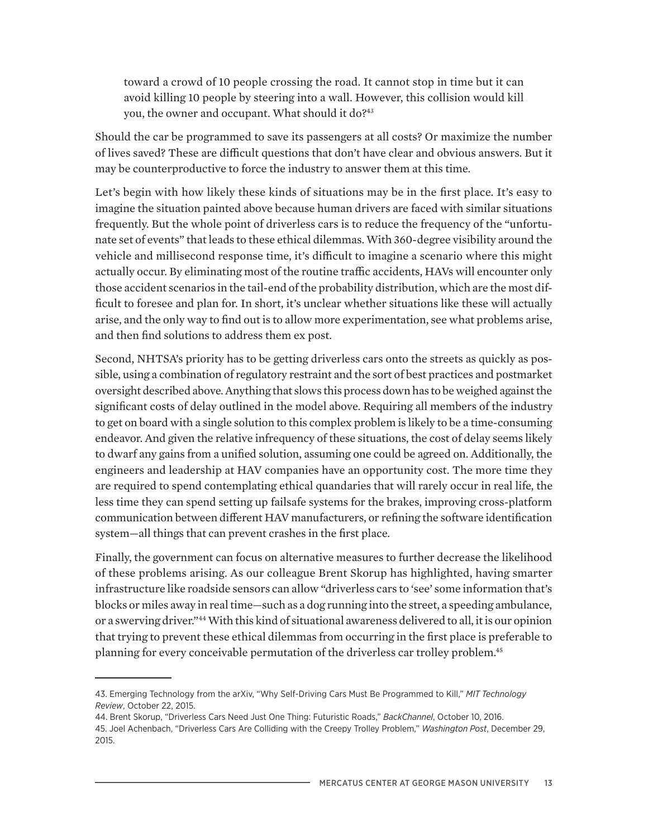toward a crowd of 10 people crossing the road. It cannot stop in time but it can avoid killing 10 people by steering into a wall. However, this collision would kill you, the owner and occupant. What should it do?<sup>43</sup>

Should the car be programmed to save its passengers at all costs? Or maximize the number of lives saved? These are difficult questions that don't have clear and obvious answers. But it may be counterproductive to force the industry to answer them at this time.

Let's begin with how likely these kinds of situations may be in the first place. It's easy to imagine the situation painted above because human drivers are faced with similar situations frequently. But the whole point of driverless cars is to reduce the frequency of the "unfortunate set of events" that leads to these ethical dilemmas. With 360-degree visibility around the vehicle and millisecond response time, it's difficult to imagine a scenario where this might actually occur. By eliminating most of the routine traffic accidents, HAVs will encounter only those accident scenarios in the tail-end of the probability distribution, which are the most difficult to foresee and plan for. In short, it's unclear whether situations like these will actually arise, and the only way to find out is to allow more experimentation, see what problems arise, and then find solutions to address them ex post.

Second, NHTSA's priority has to be getting driverless cars onto the streets as quickly as possible, using a combination of regulatory restraint and the sort of best practices and postmarket oversight described above. Anything that slows this process down has to be weighed against the significant costs of delay outlined in the model above. Requiring all members of the industry to get on board with a single solution to this complex problem is likely to be a time-consuming endeavor. And given the relative infrequency of these situations, the cost of delay seems likely to dwarf any gains from a unified solution, assuming one could be agreed on. Additionally, the engineers and leadership at HAV companies have an opportunity cost. The more time they are required to spend contemplating ethical quandaries that will rarely occur in real life, the less time they can spend setting up failsafe systems for the brakes, improving cross-platform communication between different HAV manufacturers, or refining the software identification system—all things that can prevent crashes in the first place.

Finally, the government can focus on alternative measures to further decrease the likelihood of these problems arising. As our colleague Brent Skorup has highlighted, having smarter infrastructure like roadside sensors can allow "driverless cars to 'see' some information that's blocks or miles away in real time—such as a dog running into the street, a speeding ambulance, or a swerving driver."44 With this kind of situational awareness delivered to all, it is our opinion that trying to prevent these ethical dilemmas from occurring in the first place is preferable to planning for every conceivable permutation of the driverless car trolley problem.<sup>45</sup>

<sup>43.</sup> Emerging Technology from the arXiv, "Why Self-Driving Cars Must Be Programmed to Kill," *MIT Technology Review*, October 22, 2015.

<sup>44.</sup> Brent Skorup, "Driverless Cars Need Just One Thing: Futuristic Roads," *BackChannel*, October 10, 2016.

<sup>45.</sup> Joel Achenbach, "Driverless Cars Are Colliding with the Creepy Trolley Problem," *Washington Post*, December 29, 2015.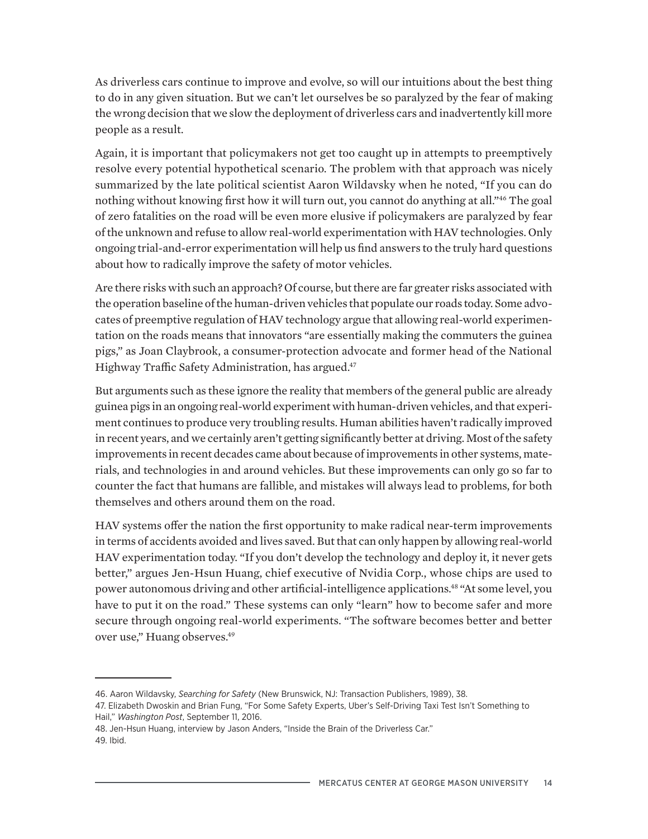As driverless cars continue to improve and evolve, so will our intuitions about the best thing to do in any given situation. But we can't let ourselves be so paralyzed by the fear of making the wrong decision that we slow the deployment of driverless cars and inadvertently kill more people as a result.

Again, it is important that policymakers not get too caught up in attempts to preemptively resolve every potential hypothetical scenario. The problem with that approach was nicely summarized by the late political scientist Aaron Wildavsky when he noted, "If you can do nothing without knowing first how it will turn out, you cannot do anything at all."46 The goal of zero fatalities on the road will be even more elusive if policymakers are paralyzed by fear of the unknown and refuse to allow real-world experimentation with HAV technologies. Only ongoing trial-and-error experimentation will help us find answers to the truly hard questions about how to radically improve the safety of motor vehicles.

Are there risks with such an approach? Of course, but there are far greater risks associated with the operation baseline of the human-driven vehicles that populate our roads today. Some advocates of preemptive regulation of HAV technology argue that allowing real-world experimentation on the roads means that innovators "are essentially making the commuters the guinea pigs," as Joan Claybrook, a consumer-protection advocate and former head of the National Highway Traffic Safety Administration, has argued.<sup>47</sup>

But arguments such as these ignore the reality that members of the general public are already guinea pigs in an ongoing real-world experiment with human-driven vehicles, and that experiment continues to produce very troubling results. Human abilities haven't radically improved in recent years, and we certainly aren't getting significantly better at driving. Most of the safety improvements in recent decades came about because of improvements in other systems, materials, and technologies in and around vehicles. But these improvements can only go so far to counter the fact that humans are fallible, and mistakes will always lead to problems, for both themselves and others around them on the road.

HAV systems offer the nation the first opportunity to make radical near-term improvements in terms of accidents avoided and lives saved. But that can only happen by allowing real-world HAV experimentation today. "If you don't develop the technology and deploy it, it never gets better," argues Jen-Hsun Huang, chief executive of Nvidia Corp., whose chips are used to power autonomous driving and other artificial-intelligence applications.<sup>48</sup> "At some level, you have to put it on the road." These systems can only "learn" how to become safer and more secure through ongoing real-world experiments. "The software becomes better and better over use," Huang observes.<sup>49</sup>

<sup>46.</sup> Aaron Wildavsky, *Searching for Safety* (New Brunswick, NJ: Transaction Publishers, 1989), 38.

<sup>47.</sup> Elizabeth Dwoskin and Brian Fung, "For Some Safety Experts, Uber's Self-Driving Taxi Test Isn't Something to Hail," *Washington Post*, September 11, 2016.

<sup>48.</sup> Jen-Hsun Huang, interview by Jason Anders, "Inside the Brain of the Driverless Car." 49. Ibid.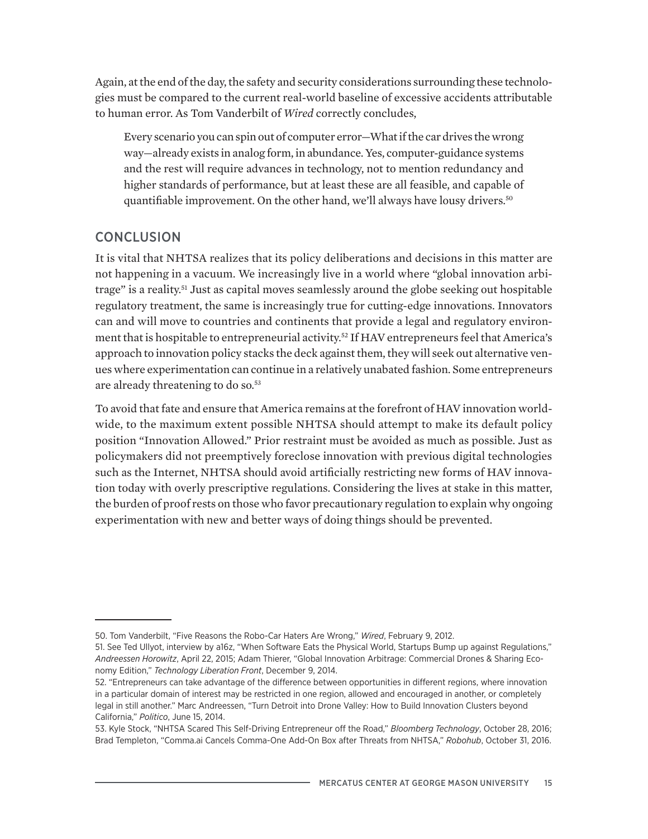Again, at the end of the day, the safety and security considerations surrounding these technologies must be compared to the current real-world baseline of excessive accidents attributable to human error. As Tom Vanderbilt of *Wired* correctly concludes,

Every scenario you can spin out of computer error—What if the car drives the wrong way—already exists in analog form, in abundance. Yes, computer-guidance systems and the rest will require advances in technology, not to mention redundancy and higher standards of performance, but at least these are all feasible, and capable of quantifiable improvement. On the other hand, we'll always have lousy drivers.<sup>50</sup>

# **CONCLUSION**

It is vital that NHTSA realizes that its policy deliberations and decisions in this matter are not happening in a vacuum. We increasingly live in a world where "global innovation arbitrage" is a reality.<sup>51</sup> Just as capital moves seamlessly around the globe seeking out hospitable regulatory treatment, the same is increasingly true for cutting-edge innovations. Innovators can and will move to countries and continents that provide a legal and regulatory environment that is hospitable to entrepreneurial activity.<sup>52</sup> If HAV entrepreneurs feel that America's approach to innovation policy stacks the deck against them, they will seek out alternative venues where experimentation can continue in a relatively unabated fashion. Some entrepreneurs are already threatening to do so.53

To avoid that fate and ensure that America remains at the forefront of HAV innovation worldwide, to the maximum extent possible NHTSA should attempt to make its default policy position "Innovation Allowed." Prior restraint must be avoided as much as possible. Just as policymakers did not preemptively foreclose innovation with previous digital technologies such as the Internet, NHTSA should avoid artificially restricting new forms of HAV innovation today with overly prescriptive regulations. Considering the lives at stake in this matter, the burden of proof rests on those who favor precautionary regulation to explain why ongoing experimentation with new and better ways of doing things should be prevented.

<sup>50.</sup> Tom Vanderbilt, "Five Reasons the Robo-Car Haters Are Wrong," *Wired*, February 9, 2012.

<sup>51.</sup> See Ted Ullyot, interview by a16z, "When Software Eats the Physical World, Startups Bump up against Regulations," *Andreessen Horowitz*, April 22, 2015; Adam Thierer, "Global Innovation Arbitrage: Commercial Drones & Sharing Economy Edition," *Technology Liberation Front*, December 9, 2014.

<sup>52. &</sup>quot;Entrepreneurs can take advantage of the difference between opportunities in different regions, where innovation in a particular domain of interest may be restricted in one region, allowed and encouraged in another, or completely legal in still another." Marc Andreessen, "Turn Detroit into Drone Valley: How to Build Innovation Clusters beyond California," *Politico*, June 15, 2014.

<sup>53.</sup> Kyle Stock, "NHTSA Scared This Self-Driving Entrepreneur off the Road," *Bloomberg Technology*, October 28, 2016; Brad Templeton, "Comma.ai Cancels Comma-One Add-On Box after Threats from NHTSA," *Robohub*, October 31, 2016.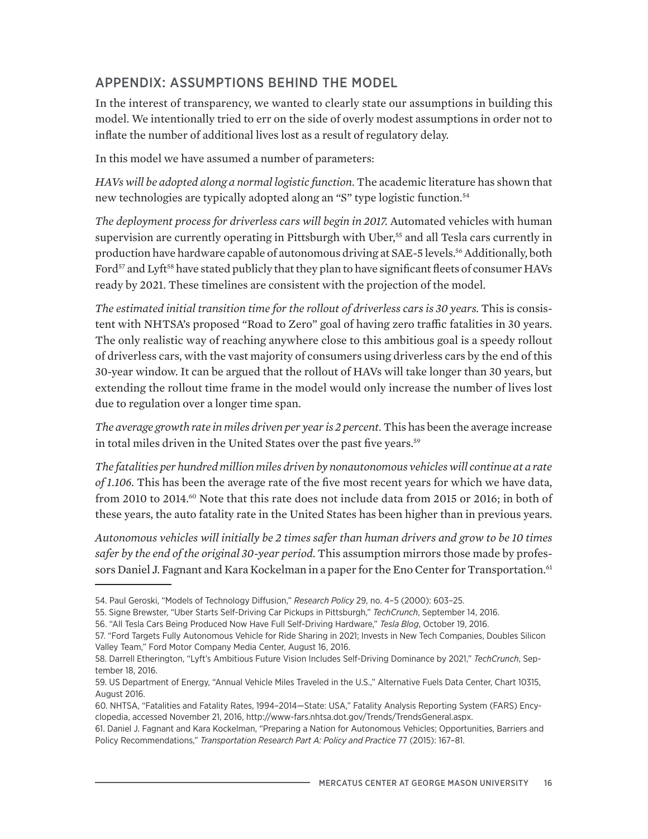# APPENDIX: ASSUMPTIONS BEHIND THE MODEL

In the interest of transparency, we wanted to clearly state our assumptions in building this model. We intentionally tried to err on the side of overly modest assumptions in order not to inflate the number of additional lives lost as a result of regulatory delay.

In this model we have assumed a number of parameters:

*HAVs will be adopted along a normal logistic function*. The academic literature has shown that new technologies are typically adopted along an "S" type logistic function.<sup>54</sup>

*The deployment process for driverless cars will begin in 2017.* Automated vehicles with human supervision are currently operating in Pittsburgh with Uber,<sup>55</sup> and all Tesla cars currently in production have hardware capable of autonomous driving at SAE-5 levels.56 Additionally, both Ford<sup>57</sup> and Lyft<sup>58</sup> have stated publicly that they plan to have significant fleets of consumer HAVs ready by 2021. These timelines are consistent with the projection of the model.

*The estimated initial transition time for the rollout of driverless cars is 30 years.* This is consistent with NHTSA's proposed "Road to Zero" goal of having zero traffic fatalities in 30 years. The only realistic way of reaching anywhere close to this ambitious goal is a speedy rollout of driverless cars, with the vast majority of consumers using driverless cars by the end of this 30-year window. It can be argued that the rollout of HAVs will take longer than 30 years, but extending the rollout time frame in the model would only increase the number of lives lost due to regulation over a longer time span.

*The average growth rate in miles driven per year is 2 percent.* This has been the average increase in total miles driven in the United States over the past five years.<sup>59</sup>

*The fatalities per hundred million miles driven by nonautonomous vehicles will continue at a rate of 1.106.* This has been the average rate of the five most recent years for which we have data, from 2010 to 2014.<sup>60</sup> Note that this rate does not include data from 2015 or 2016; in both of these years, the auto fatality rate in the United States has been higher than in previous years.

*Autonomous vehicles will initially be 2 times safer than human drivers and grow to be 10 times safer by the end of the original 30-year period.* This assumption mirrors those made by professors Daniel J. Fagnant and Kara Kockelman in a paper for the Eno Center for Transportation.<sup>61</sup>

<sup>54.</sup> Paul Geroski, "Models of Technology Diffusion," *Research Policy* 29, no. 4–5 (2000): 603–25.

<sup>55.</sup> Signe Brewster, "Uber Starts Self-Driving Car Pickups in Pittsburgh," *TechCrunch*, September 14, 2016.

<sup>56. &</sup>quot;All Tesla Cars Being Produced Now Have Full Self-Driving Hardware," *Tesla Blog*, October 19, 2016.

<sup>57. &</sup>quot;Ford Targets Fully Autonomous Vehicle for Ride Sharing in 2021; Invests in New Tech Companies, Doubles Silicon Valley Team," Ford Motor Company Media Center, August 16, 2016.

<sup>58.</sup> Darrell Etherington, "Lyft's Ambitious Future Vision Includes Self-Driving Dominance by 2021," *TechCrunch*, September 18, 2016.

<sup>59.</sup> US Department of Energy, "Annual Vehicle Miles Traveled in the U.S.," Alternative Fuels Data Center, Chart 10315, August 2016.

<sup>60.</sup> NHTSA, "Fatalities and Fatality Rates, 1994–2014—State: USA," Fatality Analysis Reporting System (FARS) Encyclopedia, accessed November 21, 2016[, http://www-fars.nhtsa.dot.gov/Trends/TrendsGeneral.aspx.](http://www-fars.nhtsa.dot.gov/Trends/TrendsGeneral.aspx)

<sup>61.</sup> Daniel J. Fagnant and Kara Kockelman, "Preparing a Nation for Autonomous Vehicles; Opportunities, Barriers and Policy Recommendations," *Transportation Research Part A: Policy and Practice* 77 (2015): 167–81.